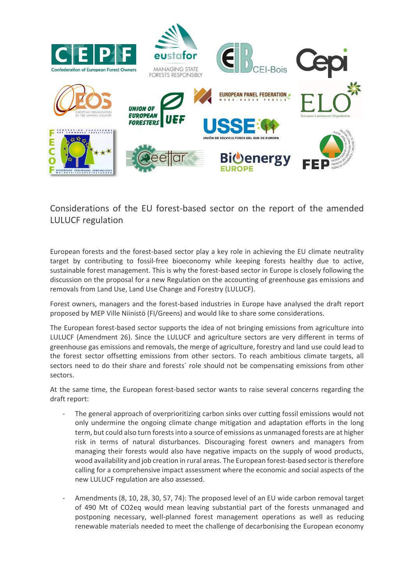

Considerations of the EU forest-based sector on the report of the amended LULUCF regulation

European forests and the forest-based sector play a key role in achieving the EU climate neutrality target by contributing to fossil-free bioeconomy while keeping forests healthy due to active, sustainable forest management. This is why the forest-based sector in Europe is closely following the discussion on the proposal for a new Regulation on the accounting of greenhouse gas emissions and removals from Land Use, Land Use Change and Forestry (LULUCF).

Forest owners, managers and the forest-based industries in Europe have analysed the draft report proposed by MEP Ville Niinistö (FI/Greens) and would like to share some considerations.

The European forest-based sector supports the idea of not bringing emissions from agriculture into LULUCF (Amendment 26). Since the LULUCF and agriculture sectors are very different in terms of greenhouse gas emissions and removals, the merge of agriculture, forestry and land use could lead to the forest sector offsetting emissions from other sectors. To reach ambitious climate targets, all sectors need to do their share and forests´ role should not be compensating emissions from other sectors.

At the same time, the European forest-based sector wants to raise several concerns regarding the draft report:

- The general approach of overprioritizing carbon sinks over cutting fossil emissions would not only undermine the ongoing climate change mitigation and adaptation efforts in the long term, but could also turn forests into a source of emissions as unmanaged forests are at higher risk in terms of natural disturbances. Discouraging forest owners and managers from managing their forests would also have negative impacts on the supply of wood products, wood availability and job creation in rural areas. The European forest-based sector is therefore calling for a comprehensive impact assessment where the economic and social aspects of the new LULUCF regulation are also assessed.
- Amendments (8, 10, 28, 30, 57, 74): The proposed level of an EU wide carbon removal target of 490 Mt of CO2eq would mean leaving substantial part of the forests unmanaged and postponing necessary, well-planned forest management operations as well as reducing renewable materials needed to meet the challenge of decarbonising the European economy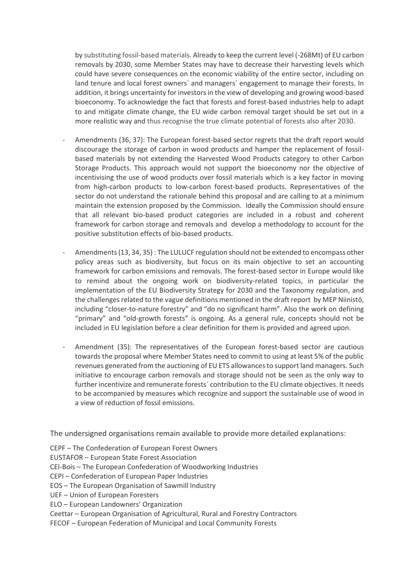by substituting fossil-based materials. Already to keep the current level (-268Mt) of EU carbon removals by 2030, some Member States may have to decrease their harvesting levels which could have severe consequences on the economic viability of the entire sector, including on land tenure and local forest owners´ and managers´ engagement to manage their forests. In addition, it brings uncertainty for investors in the view of developing and growing wood-based bioeconomy. To acknowledge the fact that forests and forest-based industries help to adapt to and mitigate climate change, the EU wide carbon removal target should be set out in a more realistic way and thus recognise the true climate potential of forests also after 2030.

- Amendments (36, 37): The European forest-based sector regrets that the draft report would discourage the storage of carbon in wood products and hamper the replacement of fossilbased materials by not extending the Harvested Wood Products category to other Carbon Storage Products. This approach would not support the bioeconomy nor the objective of incentivising the use of wood products over fossil materials which is a key factor in moving from high-carbon products to low-carbon forest-based products. Representatives of the sector do not understand the rationale behind this proposal and are calling to at a minimum maintain the extension proposed by the Commission. Ideally the Commission should ensure that all relevant bio-based product categories are included in a robust and coherent framework for carbon storage and removals and develop a methodology to account for the positive substitution effects of bio-based products.
- Amendments (13, 34, 35) : The LULUCF regulation should not be extended to encompass other policy areas such as biodiversity, but focus on its main objective to set an accounting framework for carbon emissions and removals. The forest-based sector in Europe would like to remind about the ongoing work on biodiversity-related topics, in particular the implementation of the EU Biodiversity Strategy for 2030 and the Taxonomy regulation, and the challenges related to the vague definitions mentioned in the draft report by MEP Niinistö, including "closer-to-nature forestry" and "do no significant harm". Also the work on defining "primary" and "old-growth forests" is ongoing. As a general rule, concepts should not be included in EU legislation before a clear definition for them is provided and agreed upon.
- Amendment (35): The representatives of the European forest-based sector are cautious towards the proposal where Member States need to commit to using at least 5% of the public revenues generated from the auctioning of EU ETS allowances to support land managers. Such initiative to encourage carbon removals and storage should not be seen as the only way to further incentivize and remunerate forests´ contribution to the EU climate objectives. It needs to be accompanied by measures which recognize and support the sustainable use of wood in a view of reduction of fossil emissions.

The undersigned organisations remain available to provide more detailed explanations:

CEPF – The Confederation of European Forest Owners

EUSTAFOR – European State Forest Association

CEI-Bois – The European Confederation of Woodworking Industries

CEPI – Confederation of European Paper Industries

- EOS The European Organisation of Sawmill Industry
- UEF Union of European Foresters

ELO – European Landowners' Organization

Ceettar – European Organisation of Agricultural, Rural and Forestry Contractors

FECOF – European Federation of Municipal and Local Community Forests